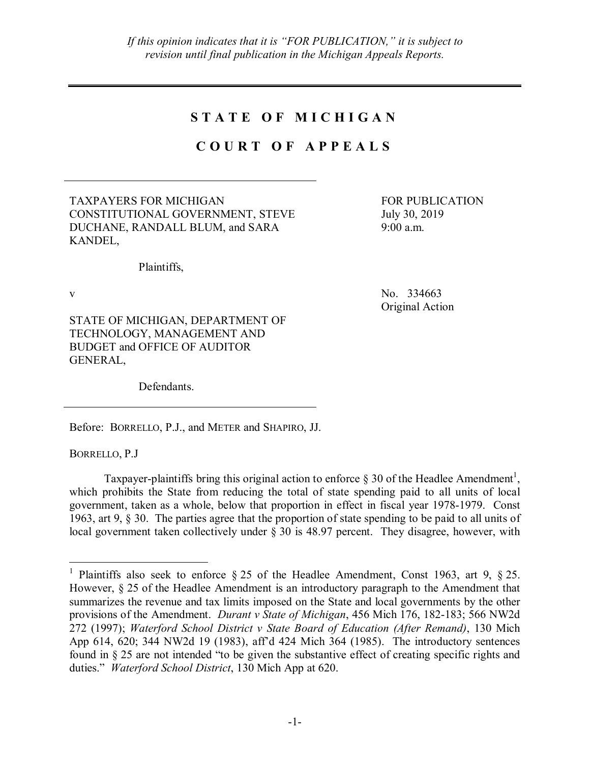# **S T A T E O F M I C H I G A N**

# **C O U R T O F A P P E A L S**

TAXPAYERS FOR MICHIGAN CONSTITUTIONAL GOVERNMENT, STEVE DUCHANE, RANDALL BLUM, and SARA KANDEL,

FOR PUBLICATION July 30, 2019 9:00 a.m.

Plaintiffs,

v No. 334663 Original Action

STATE OF MICHIGAN, DEPARTMENT OF TECHNOLOGY, MANAGEMENT AND BUDGET and OFFICE OF AUDITOR GENERAL,

Defendants.

Before: BORRELLO, P.J., and METER and SHAPIRO, JJ.

BORRELLO, P.J

Taxpayer-plaintiffs bring this original action to enforce  $\S 30$  of the Headlee Amendment<sup>1</sup>, which prohibits the State from reducing the total of state spending paid to all units of local government, taken as a whole, below that proportion in effect in fiscal year 1978-1979. Const 1963, art 9, § 30. The parties agree that the proportion of state spending to be paid to all units of local government taken collectively under § 30 is 48.97 percent. They disagree, however, with

<sup>&</sup>lt;sup>1</sup> Plaintiffs also seek to enforce § 25 of the Headlee Amendment, Const 1963, art 9, § 25. However, § 25 of the Headlee Amendment is an introductory paragraph to the Amendment that summarizes the revenue and tax limits imposed on the State and local governments by the other provisions of the Amendment. *Durant v State of Michigan*, 456 Mich 176, 182-183; 566 NW2d 272 (1997); *Waterford School District v State Board of Education (After Remand)*, 130 Mich App 614, 620; 344 NW2d 19 (1983), aff'd 424 Mich 364 (1985). The introductory sentences found in § 25 are not intended "to be given the substantive effect of creating specific rights and duties." *Waterford School District*, 130 Mich App at 620.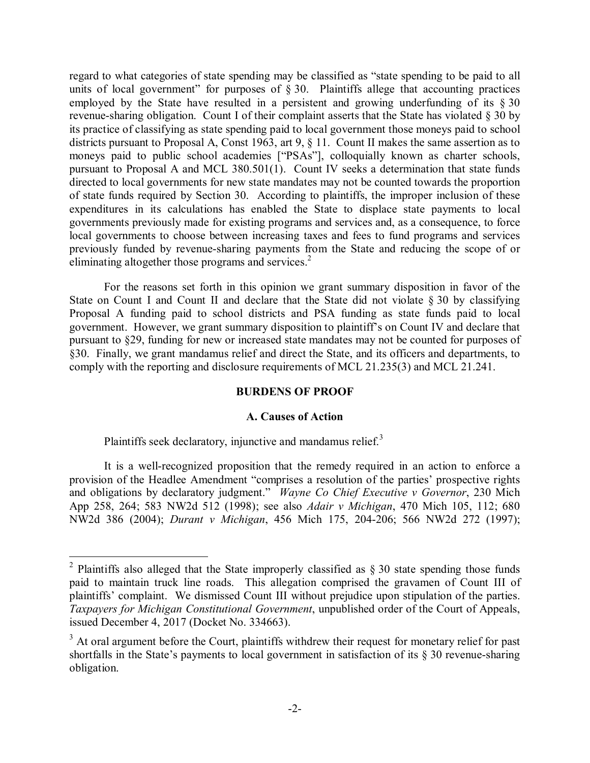regard to what categories of state spending may be classified as "state spending to be paid to all units of local government" for purposes of  $\S 30$ . Plaintiffs allege that accounting practices employed by the State have resulted in a persistent and growing underfunding of its  $\S 30$ revenue-sharing obligation. Count I of their complaint asserts that the State has violated § 30 by its practice of classifying as state spending paid to local government those moneys paid to school districts pursuant to Proposal A, Const 1963, art 9, § 11. Count II makes the same assertion as to moneys paid to public school academies ["PSAs"], colloquially known as charter schools, pursuant to Proposal A and MCL 380.501(1). Count IV seeks a determination that state funds directed to local governments for new state mandates may not be counted towards the proportion of state funds required by Section 30. According to plaintiffs, the improper inclusion of these expenditures in its calculations has enabled the State to displace state payments to local governments previously made for existing programs and services and, as a consequence, to force local governments to choose between increasing taxes and fees to fund programs and services previously funded by revenue-sharing payments from the State and reducing the scope of or eliminating altogether those programs and services. 2

For the reasons set forth in this opinion we grant summary disposition in favor of the State on Count I and Count II and declare that the State did not violate § 30 by classifying Proposal A funding paid to school districts and PSA funding as state funds paid to local government. However, we grant summary disposition to plaintiff's on Count IV and declare that pursuant to §29, funding for new or increased state mandates may not be counted for purposes of §30. Finally, we grant mandamus relief and direct the State, and its officers and departments, to comply with the reporting and disclosure requirements of MCL 21.235(3) and MCL 21.241.

## **BURDENS OF PROOF**

## **A. Causes of Action**

Plaintiffs seek declaratory, injunctive and mandamus relief. $3$ 

It is a well-recognized proposition that the remedy required in an action to enforce a provision of the Headlee Amendment "comprises a resolution of the parties' prospective rights and obligations by declaratory judgment." *Wayne Co Chief Executive v Governor*, 230 Mich App 258, 264; 583 NW2d 512 (1998); see also *Adair v Michigan*, 470 Mich 105, 112; 680 NW2d 386 (2004); *Durant v Michigan*, 456 Mich 175, 204-206; 566 NW2d 272 (1997);

<sup>&</sup>lt;sup>2</sup> Plaintiffs also alleged that the State improperly classified as  $\S 30$  state spending those funds paid to maintain truck line roads. This allegation comprised the gravamen of Count III of plaintiffs' complaint. We dismissed Count III without prejudice upon stipulation of the parties. *Taxpayers for Michigan Constitutional Government*, unpublished order of the Court of Appeals, issued December 4, 2017 (Docket No. 334663).

<sup>&</sup>lt;sup>3</sup> At oral argument before the Court, plaintiffs withdrew their request for monetary relief for past shortfalls in the State's payments to local government in satisfaction of its § 30 revenue-sharing obligation.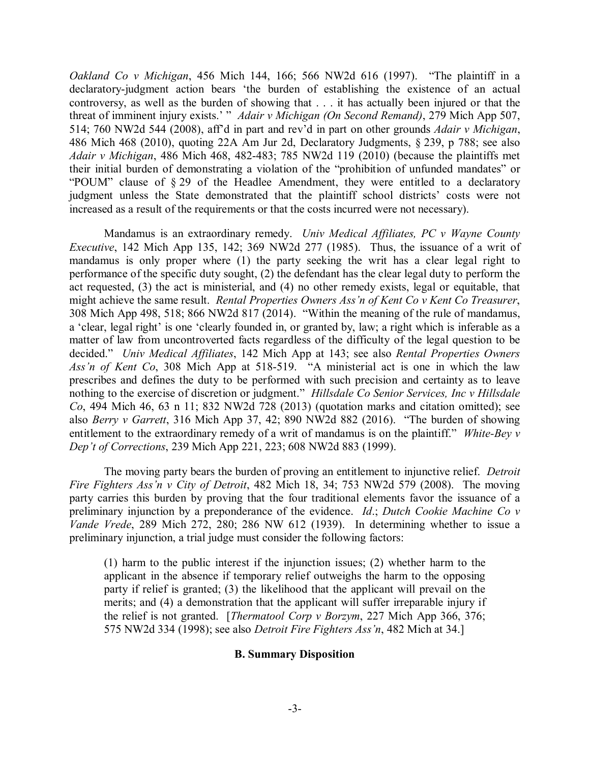*Oakland Co v Michigan*, 456 Mich 144, 166; 566 NW2d 616 (1997). "The plaintiff in a declaratory-judgment action bears 'the burden of establishing the existence of an actual controversy, as well as the burden of showing that . . . it has actually been injured or that the threat of imminent injury exists.' " *Adair v Michigan (On Second Remand)*, 279 Mich App 507, 514; 760 NW2d 544 (2008), aff'd in part and rev'd in part on other grounds *Adair v Michigan*, 486 Mich 468 (2010), quoting 22A Am Jur 2d, Declaratory Judgments, § 239, p 788; see also *Adair v Michigan*, 486 Mich 468, 482-483; 785 NW2d 119 (2010) (because the plaintiffs met their initial burden of demonstrating a violation of the "prohibition of unfunded mandates" or "POUM" clause of § 29 of the Headlee Amendment, they were entitled to a declaratory judgment unless the State demonstrated that the plaintiff school districts' costs were not increased as a result of the requirements or that the costs incurred were not necessary).

Mandamus is an extraordinary remedy. *Univ Medical Affiliates, PC v Wayne County Executive*, 142 Mich App 135, 142; 369 NW2d 277 (1985). Thus, the issuance of a writ of mandamus is only proper where (1) the party seeking the writ has a clear legal right to performance of the specific duty sought, (2) the defendant has the clear legal duty to perform the act requested, (3) the act is ministerial, and (4) no other remedy exists, legal or equitable, that might achieve the same result. *Rental Properties Owners Ass'n of Kent Co v Kent Co Treasurer*, 308 Mich App 498, 518; 866 NW2d 817 (2014). "Within the meaning of the rule of mandamus, a 'clear, legal right' is one 'clearly founded in, or granted by, law; a right which is inferable as a matter of law from uncontroverted facts regardless of the difficulty of the legal question to be decided." *Univ Medical Affiliates*, 142 Mich App at 143; see also *Rental Properties Owners Ass'n of Kent Co*, 308 Mich App at 518-519. "A ministerial act is one in which the law prescribes and defines the duty to be performed with such precision and certainty as to leave nothing to the exercise of discretion or judgment." *Hillsdale Co Senior Services, Inc v Hillsdale Co*, 494 Mich 46, 63 n 11; 832 NW2d 728 (2013) (quotation marks and citation omitted); see also *Berry v Garrett*, 316 Mich App 37, 42; 890 NW2d 882 (2016). "The burden of showing entitlement to the extraordinary remedy of a writ of mandamus is on the plaintiff." *White-Bey v Dep't of Corrections*, 239 Mich App 221, 223; 608 NW2d 883 (1999).

The moving party bears the burden of proving an entitlement to injunctive relief. *Detroit Fire Fighters Ass'n v City of Detroit*, 482 Mich 18, 34; 753 NW2d 579 (2008). The moving party carries this burden by proving that the four traditional elements favor the issuance of a preliminary injunction by a preponderance of the evidence. *Id*.; *Dutch Cookie Machine Co v Vande Vrede*, 289 Mich 272, 280; 286 NW 612 (1939). In determining whether to issue a preliminary injunction, a trial judge must consider the following factors:

(1) harm to the public interest if the injunction issues; (2) whether harm to the applicant in the absence if temporary relief outweighs the harm to the opposing party if relief is granted; (3) the likelihood that the applicant will prevail on the merits; and (4) a demonstration that the applicant will suffer irreparable injury if the relief is not granted. [*Thermatool Corp v Borzym*, 227 Mich App 366, 376; 575 NW2d 334 (1998); see also *Detroit Fire Fighters Ass'n*, 482 Mich at 34.]

## **B. Summary Disposition**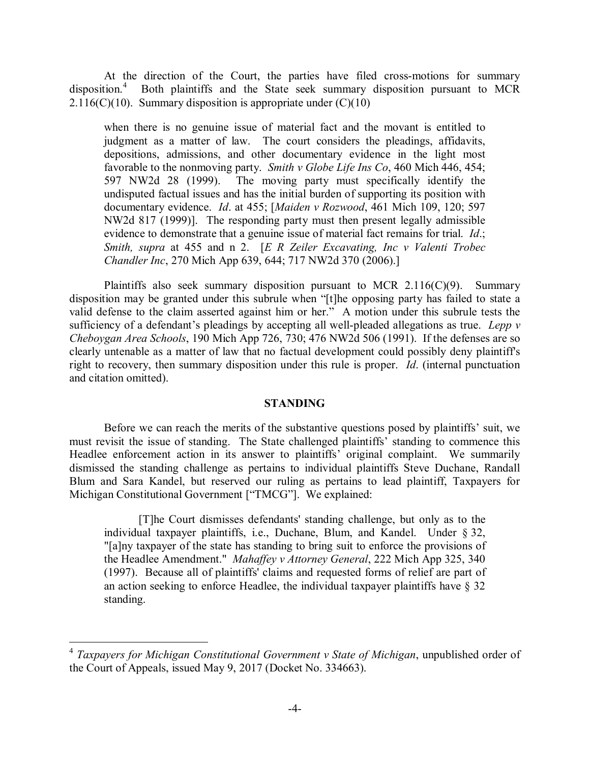At the direction of the Court, the parties have filed cross-motions for summary disposition.<sup>4</sup> Both plaintiffs and the State seek summary disposition pursuant to MCR 2.116(C)(10). Summary disposition is appropriate under  $(C)(10)$ 

when there is no genuine issue of material fact and the movant is entitled to judgment as a matter of law. The court considers the pleadings, affidavits, depositions, admissions, and other documentary evidence in the light most favorable to the nonmoving party. *Smith v Globe Life Ins Co*, 460 Mich 446, 454; 597 NW2d 28 (1999). The moving party must specifically identify the undisputed factual issues and has the initial burden of supporting its position with documentary evidence. *Id*. at 455; [*Maiden v Rozwood*, 461 Mich 109, 120; 597 NW2d 817 (1999)]. The responding party must then present legally admissible evidence to demonstrate that a genuine issue of material fact remains for trial. *Id*.; *Smith, supra* at 455 and n 2. [*E R Zeiler Excavating, Inc v Valenti Trobec Chandler Inc*, 270 Mich App 639, 644; 717 NW2d 370 (2006).]

Plaintiffs also seek summary disposition pursuant to MCR  $2.116(C)(9)$ . Summary disposition may be granted under this subrule when "[t]he opposing party has failed to state a valid defense to the claim asserted against him or her." A motion under this subrule tests the sufficiency of a defendant's pleadings by accepting all well-pleaded allegations as true. *Lepp v Cheboygan Area Schools*, 190 Mich App 726, 730; 476 NW2d 506 (1991). If the defenses are so clearly untenable as a matter of law that no factual development could possibly deny plaintiff's right to recovery, then summary disposition under this rule is proper. *Id*. (internal punctuation and citation omitted).

## **STANDING**

Before we can reach the merits of the substantive questions posed by plaintiffs' suit, we must revisit the issue of standing. The State challenged plaintiffs' standing to commence this Headlee enforcement action in its answer to plaintiffs' original complaint. We summarily dismissed the standing challenge as pertains to individual plaintiffs Steve Duchane, Randall Blum and Sara Kandel, but reserved our ruling as pertains to lead plaintiff, Taxpayers for Michigan Constitutional Government ["TMCG"]. We explained:

[T]he Court dismisses defendants' standing challenge, but only as to the individual taxpayer plaintiffs, i.e., Duchane, Blum, and Kandel. Under § 32, "[a]ny taxpayer of the state has standing to bring suit to enforce the provisions of the Headlee Amendment." *Mahaffey v Attorney General*, 222 Mich App 325, 340 (1997). Because all of plaintiffs' claims and requested forms of relief are part of an action seeking to enforce Headlee, the individual taxpayer plaintiffs have § 32 standing.

 <sup>4</sup> *Taxpayers for Michigan Constitutional Government v State of Michigan*, unpublished order of the Court of Appeals, issued May 9, 2017 (Docket No. 334663).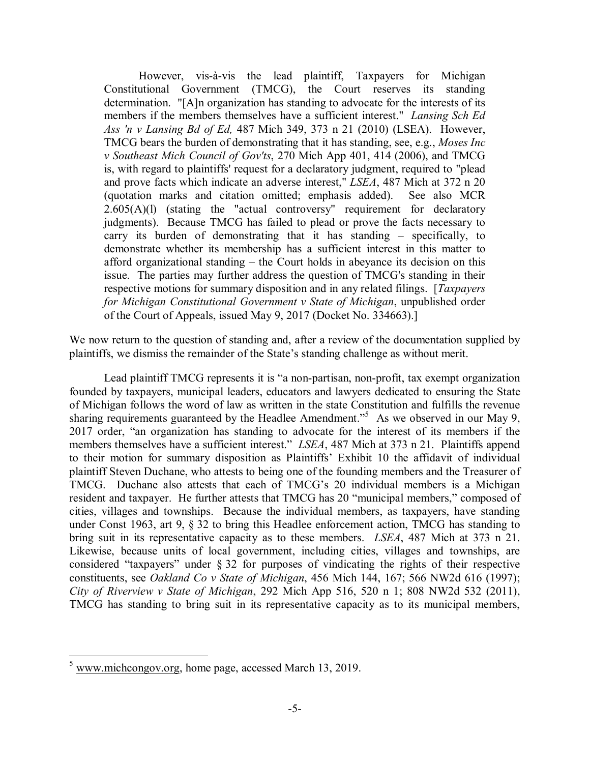However, vis-à-vis the lead plaintiff, Taxpayers for Michigan Constitutional Government (TMCG), the Court reserves its standing determination. "[A]n organization has standing to advocate for the interests of its members if the members themselves have a sufficient interest." *Lansing Sch Ed Ass 'n v Lansing Bd of Ed,* 487 Mich 349, 373 n 21 (2010) (LSEA). However, TMCG bears the burden of demonstrating that it has standing, see, e.g., *Moses Inc v Southeast Mich Council of Gov'ts*, 270 Mich App 401, 414 (2006), and TMCG is, with regard to plaintiffs' request for a declaratory judgment, required to "plead and prove facts which indicate an adverse interest," *LSEA*, 487 Mich at 372 n 20 (quotation marks and citation omitted; emphasis added). See also MCR  $2.605(A)(1)$  (stating the "actual controversy" requirement for declaratory judgments). Because TMCG has failed to plead or prove the facts necessary to carry its burden of demonstrating that it has standing – specifically, to demonstrate whether its membership has a sufficient interest in this matter to afford organizational standing – the Court holds in abeyance its decision on this issue. The parties may further address the question of TMCG's standing in their respective motions for summary disposition and in any related filings. [*Taxpayers for Michigan Constitutional Government v State of Michigan*, unpublished order of the Court of Appeals, issued May 9, 2017 (Docket No. 334663).]

We now return to the question of standing and, after a review of the documentation supplied by plaintiffs, we dismiss the remainder of the State's standing challenge as without merit.

Lead plaintiff TMCG represents it is "a non-partisan, non-profit, tax exempt organization founded by taxpayers, municipal leaders, educators and lawyers dedicated to ensuring the State of Michigan follows the word of law as written in the state Constitution and fulfills the revenue sharing requirements guaranteed by the Headlee Amendment."<sup>5</sup> As we observed in our May 9, 2017 order, "an organization has standing to advocate for the interest of its members if the members themselves have a sufficient interest." *LSEA*, 487 Mich at 373 n 21. Plaintiffs append to their motion for summary disposition as Plaintiffs' Exhibit 10 the affidavit of individual plaintiff Steven Duchane, who attests to being one of the founding members and the Treasurer of TMCG. Duchane also attests that each of TMCG's 20 individual members is a Michigan resident and taxpayer. He further attests that TMCG has 20 "municipal members," composed of cities, villages and townships. Because the individual members, as taxpayers, have standing under Const 1963, art 9, § 32 to bring this Headlee enforcement action, TMCG has standing to bring suit in its representative capacity as to these members. *LSEA*, 487 Mich at 373 n 21. Likewise, because units of local government, including cities, villages and townships, are considered "taxpayers" under § 32 for purposes of vindicating the rights of their respective constituents, see *Oakland Co v State of Michigan*, 456 Mich 144, 167; 566 NW2d 616 (1997); *City of Riverview v State of Michigan*, 292 Mich App 516, 520 n 1; 808 NW2d 532 (2011), TMCG has standing to bring suit in its representative capacity as to its municipal members,

<sup>&</sup>lt;sup>5</sup> www.michcongov.org, home page, accessed March 13, 2019.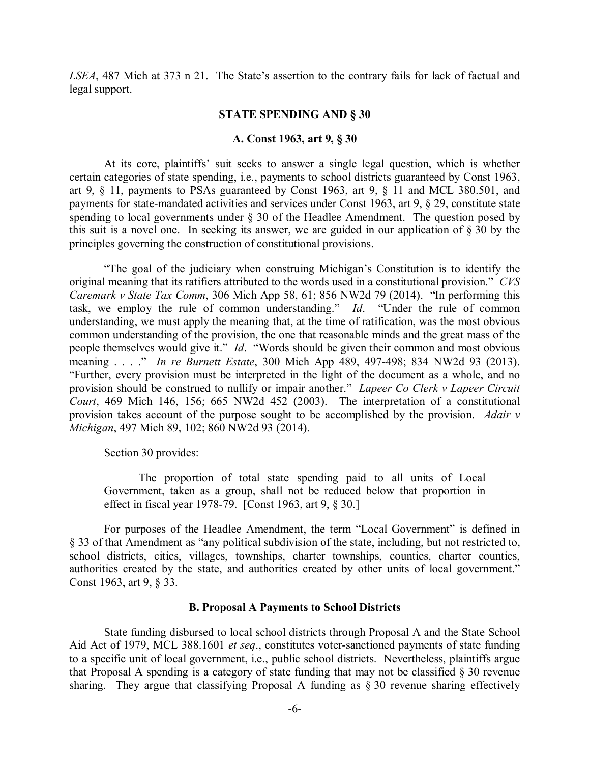*LSEA*, 487 Mich at 373 n 21. The State's assertion to the contrary fails for lack of factual and legal support.

#### **STATE SPENDING AND § 30**

#### **A. Const 1963, art 9, § 30**

At its core, plaintiffs' suit seeks to answer a single legal question, which is whether certain categories of state spending, i.e., payments to school districts guaranteed by Const 1963, art 9, § 11, payments to PSAs guaranteed by Const 1963, art 9, § 11 and MCL 380.501, and payments for state-mandated activities and services under Const 1963, art 9, § 29, constitute state spending to local governments under  $\S$  30 of the Headlee Amendment. The question posed by this suit is a novel one. In seeking its answer, we are guided in our application of § 30 by the principles governing the construction of constitutional provisions.

"The goal of the judiciary when construing Michigan's Constitution is to identify the original meaning that its ratifiers attributed to the words used in a constitutional provision." *CVS Caremark v State Tax Comm*, 306 Mich App 58, 61; 856 NW2d 79 (2014). "In performing this task, we employ the rule of common understanding." *Id*. "Under the rule of common understanding, we must apply the meaning that, at the time of ratification, was the most obvious common understanding of the provision, the one that reasonable minds and the great mass of the people themselves would give it." *Id*. "Words should be given their common and most obvious meaning . . . ." *In re Burnett Estate*, 300 Mich App 489, 497-498; 834 NW2d 93 (2013). "Further, every provision must be interpreted in the light of the document as a whole, and no provision should be construed to nullify or impair another." *Lapeer Co Clerk v Lapeer Circuit Court*, 469 Mich 146, 156; 665 NW2d 452 (2003). The interpretation of a constitutional provision takes account of the purpose sought to be accomplished by the provision. *Adair v Michigan*, 497 Mich 89, 102; 860 NW2d 93 (2014).

Section 30 provides:

The proportion of total state spending paid to all units of Local Government, taken as a group, shall not be reduced below that proportion in effect in fiscal year 1978-79. [Const 1963, art 9, § 30.]

For purposes of the Headlee Amendment, the term "Local Government" is defined in § 33 of that Amendment as "any political subdivision of the state, including, but not restricted to, school districts, cities, villages, townships, charter townships, counties, charter counties, authorities created by the state, and authorities created by other units of local government." Const 1963, art 9, § 33.

#### **B. Proposal A Payments to School Districts**

State funding disbursed to local school districts through Proposal A and the State School Aid Act of 1979, MCL 388.1601 *et seq*., constitutes voter-sanctioned payments of state funding to a specific unit of local government, i.e., public school districts. Nevertheless, plaintiffs argue that Proposal A spending is a category of state funding that may not be classified § 30 revenue sharing. They argue that classifying Proposal A funding as § 30 revenue sharing effectively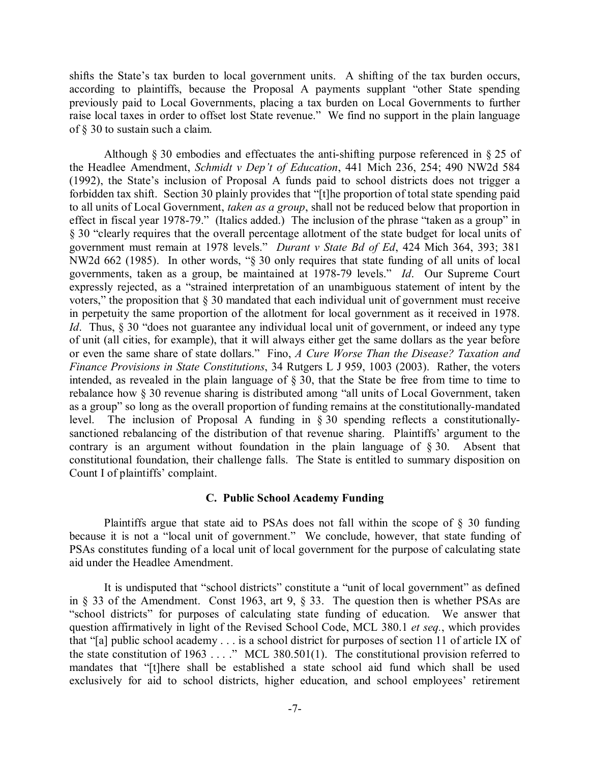shifts the State's tax burden to local government units. A shifting of the tax burden occurs, according to plaintiffs, because the Proposal A payments supplant "other State spending previously paid to Local Governments, placing a tax burden on Local Governments to further raise local taxes in order to offset lost State revenue." We find no support in the plain language of § 30 to sustain such a claim.

Although § 30 embodies and effectuates the anti-shifting purpose referenced in § 25 of the Headlee Amendment, *Schmidt v Dep't of Education*, 441 Mich 236, 254; 490 NW2d 584 (1992), the State's inclusion of Proposal A funds paid to school districts does not trigger a forbidden tax shift. Section 30 plainly provides that "[t]he proportion of total state spending paid to all units of Local Government, *taken as a group*, shall not be reduced below that proportion in effect in fiscal year 1978-79." (Italics added.) The inclusion of the phrase "taken as a group" in § 30 "clearly requires that the overall percentage allotment of the state budget for local units of government must remain at 1978 levels." *Durant v State Bd of Ed*, 424 Mich 364, 393; 381 NW2d 662 (1985). In other words, "§ 30 only requires that state funding of all units of local governments, taken as a group, be maintained at 1978-79 levels." *Id*. Our Supreme Court expressly rejected, as a "strained interpretation of an unambiguous statement of intent by the voters," the proposition that § 30 mandated that each individual unit of government must receive in perpetuity the same proportion of the allotment for local government as it received in 1978. *Id.* Thus, § 30 "does not guarantee any individual local unit of government, or indeed any type of unit (all cities, for example), that it will always either get the same dollars as the year before or even the same share of state dollars." Fino, *A Cure Worse Than the Disease? Taxation and Finance Provisions in State Constitutions*, 34 Rutgers L J 959, 1003 (2003). Rather, the voters intended, as revealed in the plain language of § 30, that the State be free from time to time to rebalance how § 30 revenue sharing is distributed among "all units of Local Government, taken as a group" so long as the overall proportion of funding remains at the constitutionally-mandated level. The inclusion of Proposal A funding in § 30 spending reflects a constitutionallysanctioned rebalancing of the distribution of that revenue sharing. Plaintiffs' argument to the contrary is an argument without foundation in the plain language of § 30. Absent that constitutional foundation, their challenge falls. The State is entitled to summary disposition on Count I of plaintiffs' complaint.

#### **C. Public School Academy Funding**

Plaintiffs argue that state aid to PSAs does not fall within the scope of § 30 funding because it is not a "local unit of government." We conclude, however, that state funding of PSAs constitutes funding of a local unit of local government for the purpose of calculating state aid under the Headlee Amendment.

It is undisputed that "school districts" constitute a "unit of local government" as defined in § 33 of the Amendment. Const 1963, art 9, § 33. The question then is whether PSAs are "school districts" for purposes of calculating state funding of education. We answer that question affirmatively in light of the Revised School Code, MCL 380.1 *et seq.*, which provides that "[a] public school academy . . . is a school district for purposes of section 11 of article IX of the state constitution of 1963 . . . ." MCL 380.501(1). The constitutional provision referred to mandates that "[t]here shall be established a state school aid fund which shall be used exclusively for aid to school districts, higher education, and school employees' retirement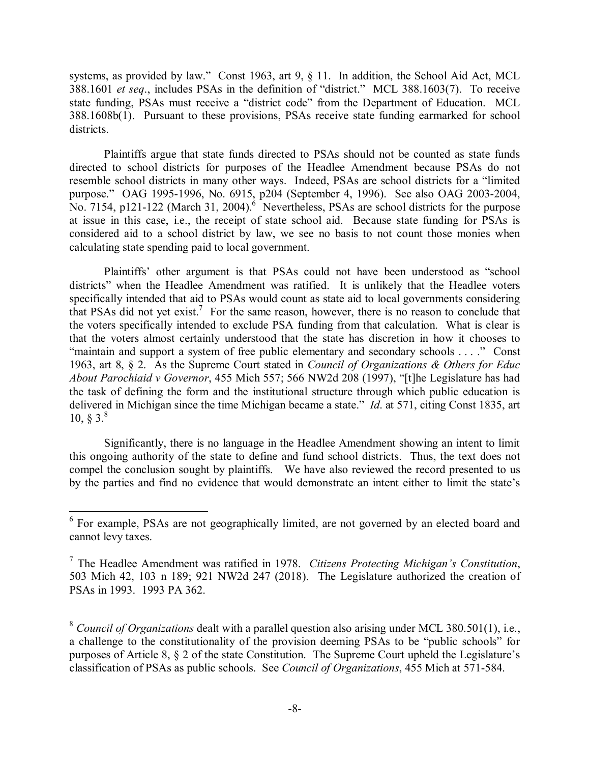systems, as provided by law." Const 1963, art 9, § 11. In addition, the School Aid Act, MCL 388.1601 *et seq*., includes PSAs in the definition of "district." MCL 388.1603(7). To receive state funding, PSAs must receive a "district code" from the Department of Education. MCL 388.1608b(1). Pursuant to these provisions, PSAs receive state funding earmarked for school districts.

Plaintiffs argue that state funds directed to PSAs should not be counted as state funds directed to school districts for purposes of the Headlee Amendment because PSAs do not resemble school districts in many other ways. Indeed, PSAs are school districts for a "limited purpose." OAG 1995-1996, No. 6915, p204 (September 4, 1996). See also OAG 2003-2004, No. 7154, p121-122 (March 31, 2004). $6$  Nevertheless, PSAs are school districts for the purpose at issue in this case, i.e., the receipt of state school aid. Because state funding for PSAs is considered aid to a school district by law, we see no basis to not count those monies when calculating state spending paid to local government.

Plaintiffs' other argument is that PSAs could not have been understood as "school districts" when the Headlee Amendment was ratified. It is unlikely that the Headlee voters specifically intended that aid to PSAs would count as state aid to local governments considering that PSAs did not yet exist.<sup>7</sup> For the same reason, however, there is no reason to conclude that the voters specifically intended to exclude PSA funding from that calculation. What is clear is that the voters almost certainly understood that the state has discretion in how it chooses to "maintain and support a system of free public elementary and secondary schools . . . ." Const 1963, art 8, § 2. As the Supreme Court stated in *Council of Organizations & Others for Educ About Parochiaid v Governor*, 455 Mich 557; 566 NW2d 208 (1997), "[t]he Legislature has had the task of defining the form and the institutional structure through which public education is delivered in Michigan since the time Michigan became a state." *Id*. at 571, citing Const 1835, art  $10, \S 3.8$ 

Significantly, there is no language in the Headlee Amendment showing an intent to limit this ongoing authority of the state to define and fund school districts. Thus, the text does not compel the conclusion sought by plaintiffs. We have also reviewed the record presented to us by the parties and find no evidence that would demonstrate an intent either to limit the state's

<sup>&</sup>lt;sup>6</sup> For example, PSAs are not geographically limited, are not governed by an elected board and cannot levy taxes.

<sup>7</sup> The Headlee Amendment was ratified in 1978. *Citizens Protecting Michigan's Constitution*, 503 Mich 42, 103 n 189; 921 NW2d 247 (2018). The Legislature authorized the creation of PSAs in 1993. 1993 PA 362.

<sup>8</sup> *Council of Organizations* dealt with a parallel question also arising under MCL 380.501(1), i.e., a challenge to the constitutionality of the provision deeming PSAs to be "public schools" for purposes of Article 8, § 2 of the state Constitution. The Supreme Court upheld the Legislature's classification of PSAs as public schools. See *Council of Organizations*, 455 Mich at 571-584.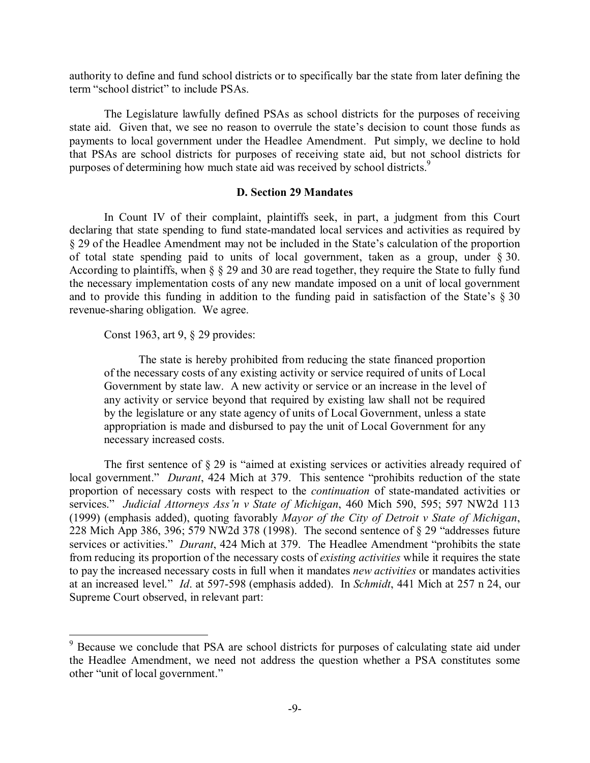authority to define and fund school districts or to specifically bar the state from later defining the term "school district" to include PSAs.

The Legislature lawfully defined PSAs as school districts for the purposes of receiving state aid. Given that, we see no reason to overrule the state's decision to count those funds as payments to local government under the Headlee Amendment. Put simply, we decline to hold that PSAs are school districts for purposes of receiving state aid, but not school districts for purposes of determining how much state aid was received by school districts.<sup>9</sup>

## **D. Section 29 Mandates**

In Count IV of their complaint, plaintiffs seek, in part, a judgment from this Court declaring that state spending to fund state-mandated local services and activities as required by § 29 of the Headlee Amendment may not be included in the State's calculation of the proportion of total state spending paid to units of local government, taken as a group, under § 30. According to plaintiffs, when § § 29 and 30 are read together, they require the State to fully fund the necessary implementation costs of any new mandate imposed on a unit of local government and to provide this funding in addition to the funding paid in satisfaction of the State's  $\S 30$ revenue-sharing obligation. We agree.

## Const 1963, art 9, § 29 provides:

The state is hereby prohibited from reducing the state financed proportion of the necessary costs of any existing activity or service required of units of Local Government by state law. A new activity or service or an increase in the level of any activity or service beyond that required by existing law shall not be required by the legislature or any state agency of units of Local Government, unless a state appropriation is made and disbursed to pay the unit of Local Government for any necessary increased costs.

The first sentence of § 29 is "aimed at existing services or activities already required of local government." *Durant*, 424 Mich at 379. This sentence "prohibits reduction of the state proportion of necessary costs with respect to the *continuation* of state-mandated activities or services." *Judicial Attorneys Ass'n v State of Michigan*, 460 Mich 590, 595; 597 NW2d 113 (1999) (emphasis added), quoting favorably *Mayor of the City of Detroit v State of Michigan*, 228 Mich App 386, 396; 579 NW2d 378 (1998). The second sentence of § 29 "addresses future services or activities." *Durant*, 424 Mich at 379. The Headlee Amendment "prohibits the state from reducing its proportion of the necessary costs of *existing activities* while it requires the state to pay the increased necessary costs in full when it mandates *new activities* or mandates activities at an increased level." *Id*. at 597-598 (emphasis added). In *Schmidt*, 441 Mich at 257 n 24, our Supreme Court observed, in relevant part:

<sup>&</sup>lt;sup>9</sup> Because we conclude that PSA are school districts for purposes of calculating state aid under the Headlee Amendment, we need not address the question whether a PSA constitutes some other "unit of local government."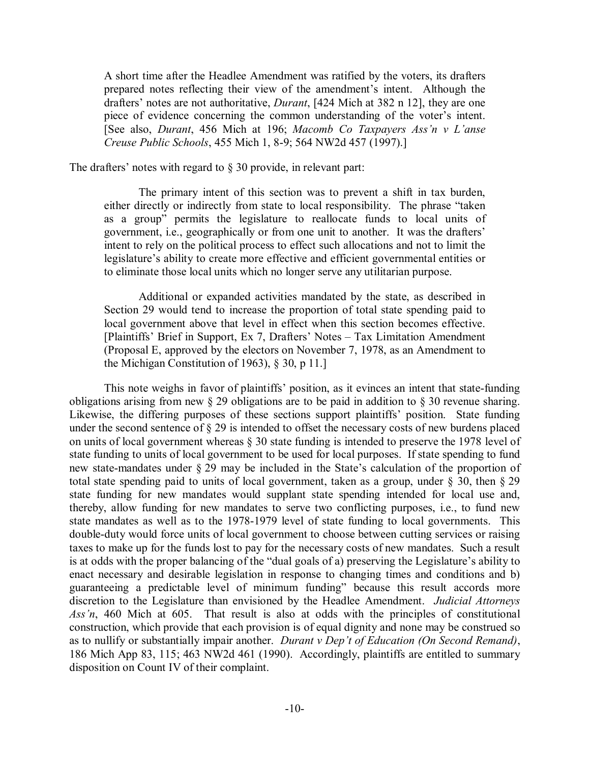A short time after the Headlee Amendment was ratified by the voters, its drafters prepared notes reflecting their view of the amendment's intent. Although the drafters' notes are not authoritative, *Durant*, [424 Mich at 382 n 12], they are one piece of evidence concerning the common understanding of the voter's intent. [See also, *Durant*, 456 Mich at 196; *Macomb Co Taxpayers Ass'n v L'anse Creuse Public Schools*, 455 Mich 1, 8-9; 564 NW2d 457 (1997).]

The drafters' notes with regard to § 30 provide, in relevant part:

The primary intent of this section was to prevent a shift in tax burden, either directly or indirectly from state to local responsibility. The phrase "taken as a group" permits the legislature to reallocate funds to local units of government, i.e., geographically or from one unit to another. It was the drafters' intent to rely on the political process to effect such allocations and not to limit the legislature's ability to create more effective and efficient governmental entities or to eliminate those local units which no longer serve any utilitarian purpose.

Additional or expanded activities mandated by the state, as described in Section 29 would tend to increase the proportion of total state spending paid to local government above that level in effect when this section becomes effective. [Plaintiffs' Brief in Support, Ex 7, Drafters' Notes – Tax Limitation Amendment (Proposal E, approved by the electors on November 7, 1978, as an Amendment to the Michigan Constitution of 1963), § 30, p 11.]

This note weighs in favor of plaintiffs' position, as it evinces an intent that state-funding obligations arising from new § 29 obligations are to be paid in addition to § 30 revenue sharing. Likewise, the differing purposes of these sections support plaintiffs' position. State funding under the second sentence of § 29 is intended to offset the necessary costs of new burdens placed on units of local government whereas § 30 state funding is intended to preserve the 1978 level of state funding to units of local government to be used for local purposes. If state spending to fund new state-mandates under § 29 may be included in the State's calculation of the proportion of total state spending paid to units of local government, taken as a group, under § 30, then § 29 state funding for new mandates would supplant state spending intended for local use and, thereby, allow funding for new mandates to serve two conflicting purposes, i.e., to fund new state mandates as well as to the 1978-1979 level of state funding to local governments. This double-duty would force units of local government to choose between cutting services or raising taxes to make up for the funds lost to pay for the necessary costs of new mandates. Such a result is at odds with the proper balancing of the "dual goals of a) preserving the Legislature's ability to enact necessary and desirable legislation in response to changing times and conditions and b) guaranteeing a predictable level of minimum funding" because this result accords more discretion to the Legislature than envisioned by the Headlee Amendment. *Judicial Attorneys Ass'n*, 460 Mich at 605. That result is also at odds with the principles of constitutional construction, which provide that each provision is of equal dignity and none may be construed so as to nullify or substantially impair another. *Durant v Dep't of Education (On Second Remand)*, 186 Mich App 83, 115; 463 NW2d 461 (1990). Accordingly, plaintiffs are entitled to summary disposition on Count IV of their complaint.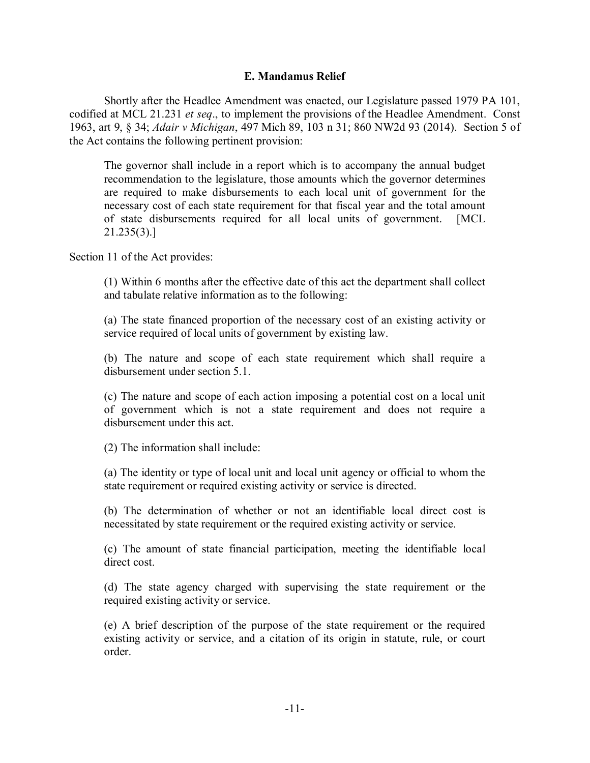## **E. Mandamus Relief**

Shortly after the Headlee Amendment was enacted, our Legislature passed 1979 PA 101, codified at MCL 21.231 *et seq*., to implement the provisions of the Headlee Amendment. Const 1963, art 9, § 34; *Adair v Michigan*, 497 Mich 89, 103 n 31; 860 NW2d 93 (2014). Section 5 of the Act contains the following pertinent provision:

The governor shall include in a report which is to accompany the annual budget recommendation to the legislature, those amounts which the governor determines are required to make disbursements to each local unit of government for the necessary cost of each state requirement for that fiscal year and the total amount of state disbursements required for all local units of government. [MCL 21.235(3).]

Section 11 of the Act provides:

(1) Within 6 months after the effective date of this act the department shall collect and tabulate relative information as to the following:

(a) The state financed proportion of the necessary cost of an existing activity or service required of local units of government by existing law.

(b) The nature and scope of each state requirement which shall require a disbursement under section 5.1.

(c) The nature and scope of each action imposing a potential cost on a local unit of government which is not a state requirement and does not require a disbursement under this act.

(2) The information shall include:

(a) The identity or type of local unit and local unit agency or official to whom the state requirement or required existing activity or service is directed.

(b) The determination of whether or not an identifiable local direct cost is necessitated by state requirement or the required existing activity or service.

(c) The amount of state financial participation, meeting the identifiable local direct cost.

(d) The state agency charged with supervising the state requirement or the required existing activity or service.

(e) A brief description of the purpose of the state requirement or the required existing activity or service, and a citation of its origin in statute, rule, or court order.